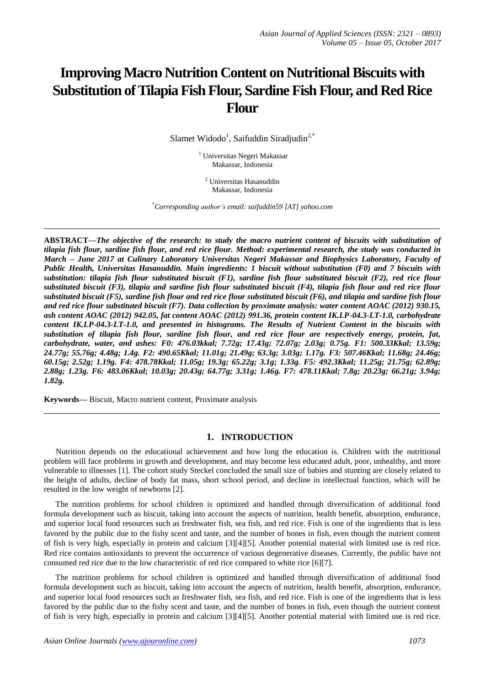# **Improving Macro Nutrition Content on Nutritional Biscuits with Substitution of Tilapia Fish Flour, Sardine Fish Flour, and Red Rice Flour**

Slamet Widodo<sup>1</sup>, Saifuddin Siradjudin<sup>2,\*</sup>

<sup>1</sup> Universitas Negeri Makassar Makassar, Indonesia

<sup>2</sup> Universitas Hasanuddin Makassar, Indonesia

*\*Corresponding author's email: saifuddin59 [AT] yahoo.com*

**\_\_\_\_\_\_\_\_\_\_\_\_\_\_\_\_\_\_\_\_\_\_\_\_\_\_\_\_\_\_\_\_\_\_\_\_\_\_\_\_\_\_\_\_\_\_\_\_\_\_\_\_\_\_\_\_\_\_\_\_\_\_\_\_\_\_\_\_\_\_\_\_\_\_\_\_\_\_\_\_\_**

**ABSTRACT—***The objective of the research: to study the macro nutrient content of biscuits with substitution of tilapia fish flour, sardine fish flour, and red rice flour. Method: experimental research, the study was conducted in March – June 2017 at Culinary Laboratory Universitas Negeri Makassar and Biophysics Laboratory, Faculty of Public Health, Universitas Hasanuddin. Main ingredients: 1 biscuit without substitution (F0) and 7 biscuits with substitution: tilapia fish flour substituted biscuit (F1), sardine fish flour substituted biscuit (F2), red rice flour substituted biscuit (F3), tilapia and sardine fish flour substituted biscuit (F4), tilapia fish flour and red rice flour substituted biscuit (F5), sardine fish flour and red rice flour substituted biscuit (F6), and tilapia and sardine fish flour and red rice flour substituted biscuit (F7). Data collection by proximate analysis: water content AOAC (2012) 930.15, ash content AOAC (2012) 942.05, fat content AOAC (2012) 991.36, protein content IK.LP-04.3-LT-1.0, carbohydrate content IK.LP-04.3-LT-1.0, and presented in histograms. The Results of Nutrient Content in the biscuits with substitution of tilapia fish flour, sardine fish flour, and red rice flour are respectively energy, protein, fat, carbohydrate, water, and ashes: F0: 476.03kkal; 7.72g; 17.43g; 72.07g; 2.03g; 0.75g. F1: 500.33Kkal; 13.59g; 24.77g; 55.76g; 4.48g; 1.4g. F2: 490.65Kkal; 11.01g; 21.49g; 63.3g; 3.03g; 1.17g. F3: 507.46Kkal; 11.68g; 24.46g; 60.15g; 2.52g; 1.19g. F4: 478.78Kkal; 11.05g; 19.3g; 65.22g; 3.1g; 1.33g. F5: 492.3Kkal; 11.25g; 21.75g; 62.89g; 2.88g; 1.23g. F6: 483.06Kkal; 10.03g; 20.43g; 64.77g; 3.31g; 1.46g. F7: 478.11Kkal; 7.8g; 20.23g; 66.21g; 3.94g; 1.82g.*

**Keywords**--- Biscuit, Macro nutrient content, Proximate analysis

#### **1. INTRODUCTION**

**\_\_\_\_\_\_\_\_\_\_\_\_\_\_\_\_\_\_\_\_\_\_\_\_\_\_\_\_\_\_\_\_\_\_\_\_\_\_\_\_\_\_\_\_\_\_\_\_\_\_\_\_\_\_\_\_\_\_\_\_\_\_\_\_\_\_\_\_\_\_\_\_\_\_\_\_\_\_\_\_\_**

Nutrition depends on the educational achievement and how long the education is. Children with the nutritional problem will face problems in growth and development, and may become less educated adult, poor, unhealthy, and more vulnerable to illnesses [1]. The cohort study Steckel concluded the small size of babies and stunting are closely related to the height of adults, decline of body fat mass, short school period, and decline in intellectual function, which will be resulted in the low weight of newborns [2].

The nutrition problems for school children is optimized and handled through diversification of additional food formula development such as biscuit, taking into account the aspects of nutrition, health benefit, absorption, endurance, and superior local food resources such as freshwater fish, sea fish, and red rice. Fish is one of the ingredients that is less favored by the public due to the fishy scent and taste, and the number of bones in fish, even though the nutrient content of fish is very high, especially in protein and calcium [3][4][5]. Another potential material with limited use is red rice. Red rice contains antioxidants to prevent the occurrence of various degenerative diseases. Currently, the public have not consumed red rice due to the low characteristic of red rice compared to white rice [6][7].

The nutrition problems for school children is optimized and handled through diversification of additional food formula development such as biscuit, taking into account the aspects of nutrition, health benefit, absorption, endurance, and superior local food resources such as freshwater fish, sea fish, and red rice. Fish is one of the ingredients that is less favored by the public due to the fishy scent and taste, and the number of bones in fish, even though the nutrient content of fish is very high, especially in protein and calcium [3][4][5]. Another potential material with limited use is red rice.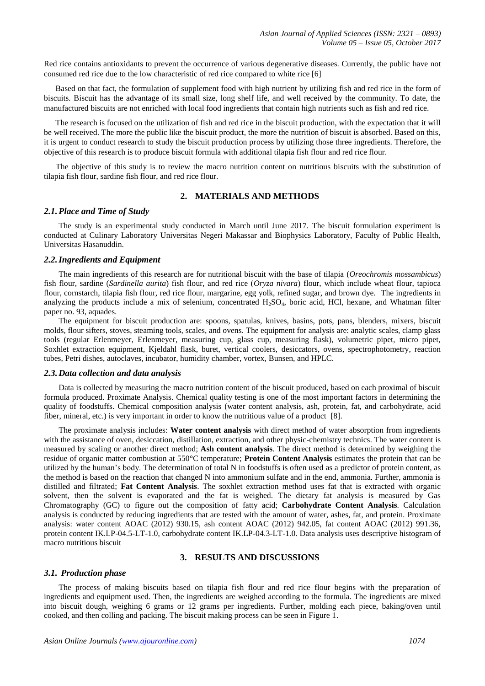Red rice contains antioxidants to prevent the occurrence of various degenerative diseases. Currently, the public have not consumed red rice due to the low characteristic of red rice compared to white rice [6]

Based on that fact, the formulation of supplement food with high nutrient by utilizing fish and red rice in the form of biscuits. Biscuit has the advantage of its small size, long shelf life, and well received by the community. To date, the manufactured biscuits are not enriched with local food ingredients that contain high nutrients such as fish and red rice.

The research is focused on the utilization of fish and red rice in the biscuit production, with the expectation that it will be well received. The more the public like the biscuit product, the more the nutrition of biscuit is absorbed. Based on this, it is urgent to conduct research to study the biscuit production process by utilizing those three ingredients. Therefore, the objective of this research is to produce biscuit formula with additional tilapia fish flour and red rice flour.

The objective of this study is to review the macro nutrition content on nutritious biscuits with the substitution of tilapia fish flour, sardine fish flour, and red rice flour.

# **2. MATERIALS AND METHODS**

### *2.1.Place and Time of Study*

The study is an experimental study conducted in March until June 2017. The biscuit formulation experiment is conducted at Culinary Laboratory Universitas Negeri Makassar and Biophysics Laboratory, Faculty of Public Health, Universitas Hasanuddin.

#### *2.2.Ingredients and Equipment*

The main ingredients of this research are for nutritional biscuit with the base of tilapia (*Oreochromis mossambicus*) fish flour, sardine (*Sardinella aurita*) fish flour, and red rice (*Oryza nivara*) flour, which include wheat flour, tapioca flour, cornstarch, tilapia fish flour, red rice flour, margarine, egg yolk, refined sugar, and brown dye. The ingredients in analyzing the products include a mix of selenium, concentrated  $H_2SO_4$ , boric acid, HCl, hexane, and Whatman filter paper no. 93, aquades.

The equipment for biscuit production are: spoons, spatulas, knives, basins, pots, pans, blenders, mixers, biscuit molds, flour sifters, stoves, steaming tools, scales, and ovens. The equipment for analysis are: analytic scales, clamp glass tools (regular Erlenmeyer, Erlenmeyer, measuring cup, glass cup, measuring flask), volumetric pipet, micro pipet, Soxhlet extraction equipment, Kjeldahl flask, buret, vertical coolers, desiccators, ovens, spectrophotometry, reaction tubes, Petri dishes, autoclaves, incubator, humidity chamber, vortex, Bunsen, and HPLC.

## *2.3.Data collection and data analysis*

Data is collected by measuring the macro nutrition content of the biscuit produced, based on each proximal of biscuit formula produced. Proximate Analysis. Chemical quality testing is one of the most important factors in determining the quality of foodstuffs. Chemical composition analysis (water content analysis, ash, protein, fat, and carbohydrate, acid fiber, mineral, etc.) is very important in order to know the nutritious value of a product [8].

The proximate analysis includes: **Water content analysis** with direct method of water absorption from ingredients with the assistance of oven, desiccation, distillation, extraction, and other physic-chemistry technics. The water content is measured by scaling or another direct method; **Ash content analysis**. The direct method is determined by weighing the residue of organic matter combustion at 550°C temperature; **Protein Content Analysis** estimates the protein that can be utilized by the human's body. The determination of total N in foodstuffs is often used as a predictor of protein content, as the method is based on the reaction that changed N into ammonium sulfate and in the end, ammonia. Further, ammonia is distilled and filtrated; **Fat Content Analysis**. The soxhlet extraction method uses fat that is extracted with organic solvent, then the solvent is evaporated and the fat is weighed. The dietary fat analysis is measured by Gas Chromatography (GC) to figure out the composition of fatty acid; **Carbohydrate Content Analysis**. Calculation analysis is conducted by reducing ingredients that are tested with the amount of water, ashes, fat, and protein. Proximate analysis: water content AOAC (2012) 930.15, ash content AOAC (2012) 942.05, fat content AOAC (2012) 991.36, protein content IK.LP-04.5-LT-1.0, carbohydrate content IK.LP-04.3-LT-1.0. Data analysis uses descriptive histogram of macro nutritious biscuit

## **3. RESULTS AND DISCUSSIONS**

#### *3.1. Production phase*

The process of making biscuits based on tilapia fish flour and red rice flour begins with the preparation of ingredients and equipment used. Then, the ingredients are weighed according to the formula. The ingredients are mixed into biscuit dough, weighing 6 grams or 12 grams per ingredients. Further, molding each piece, baking/oven until cooked, and then colling and packing. The biscuit making process can be seen in Figure 1.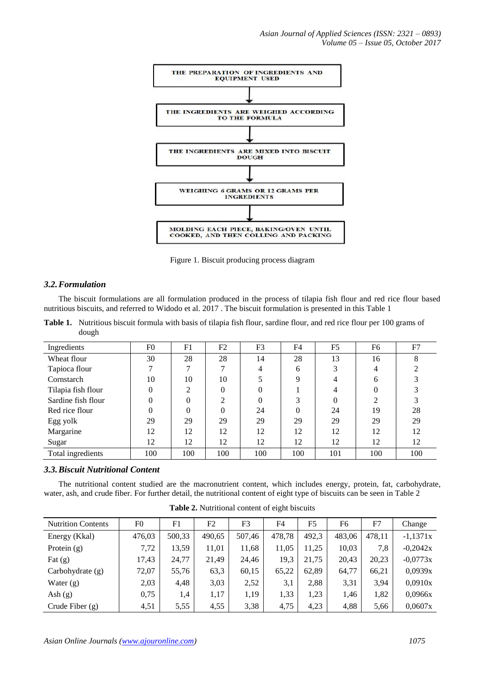

Figure 1. Biscuit producing process diagram

## *3.2.Formulation*

The biscuit formulations are all formulation produced in the process of tilapia fish flour and red rice flour based nutritious biscuits, and referred to Widodo et al. 2017 . The biscuit formulation is presented in this Table 1

**Table 1.** Nutritious biscuit formula with basis of tilapia fish flour, sardine flour, and red rice flour per 100 grams of dough

| Ingredients        | F <sub>0</sub> | F1  | F2       | F3  | F <sub>4</sub> | F <sub>5</sub> | F6  | F7  |
|--------------------|----------------|-----|----------|-----|----------------|----------------|-----|-----|
| Wheat flour        | 30             | 28  | 28       | 14  | 28             | 13             | 16  | 8   |
| Tapioca flour      | ⇁              | ⇁   |          | 4   | 6              | 3              | 4   | ◠   |
| Cornstarch         | 10             | 10  | 10       |     | 9              | 4              | 6   | 3   |
| Tilapia fish flour | $\theta$       | ∍   | $\Omega$ | 0   |                | 4              |     | 3   |
| Sardine fish flour | $\Omega$       | 0   | ◠        | 0   | 3              |                | ◠   |     |
| Red rice flour     | $\Omega$       | 0   | $\theta$ | 24  | $\Omega$       | 24             | 19  | 28  |
| Egg yolk           | 29             | 29  | 29       | 29  | 29             | 29             | 29  | 29  |
| Margarine          | 12             | 12  | 12       | 12  | 12             | 12             | 12  | 12  |
| Sugar              | 12             | 12  | 12       | 12  | 12             | 12             | 12  | 12  |
| Total ingredients  | 100            | 100 | 100      | 100 | 100            | 101            | 100 | 100 |

# *3.3.Biscuit Nutritional Content*

The nutritional content studied are the macronutrient content, which includes energy, protein, fat, carbohydrate, water, ash, and crude fiber. For further detail, the nutritional content of eight type of biscuits can be seen in Table 2

| <b>Nutrition Contents</b> | F <sub>0</sub> | F1     | F2     | F <sub>3</sub> | F4     | F5    | F6     | F7     | Change     |
|---------------------------|----------------|--------|--------|----------------|--------|-------|--------|--------|------------|
| Energy (Kkal)             | 476,03         | 500,33 | 490,65 | 507.46         | 478,78 | 492,3 | 483,06 | 478,11 | $-1,1371x$ |
| Protein $(g)$             | 7,72           | 13,59  | 11,01  | 11,68          | 11,05  | 11,25 | 10,03  | 7,8    | $-0,2042x$ |
| Fat $(g)$                 | 17,43          | 24,77  | 21,49  | 24,46          | 19,3   | 21,75 | 20,43  | 20,23  | $-0,0773x$ |
| Carbohydrate (g)          | 72,07          | 55,76  | 63,3   | 60,15          | 65,22  | 62,89 | 64,77  | 66,21  | 0,0939x    |
| Water $(g)$               | 2,03           | 4,48   | 3,03   | 2,52           | 3,1    | 2,88  | 3,31   | 3,94   | 0,0910x    |
| Ash $(g)$                 | 0,75           | 1,4    | 1,17   | 1,19           | 1,33   | 1,23  | 1,46   | 1,82   | 0,0966x    |
| Crude Fiber $(g)$         | 4,51           | 5,55   | 4,55   | 3,38           | 4.75   | 4,23  | 4,88   | 5,66   | 0.0607x    |

**Table 2.** Nutritional content of eight biscuits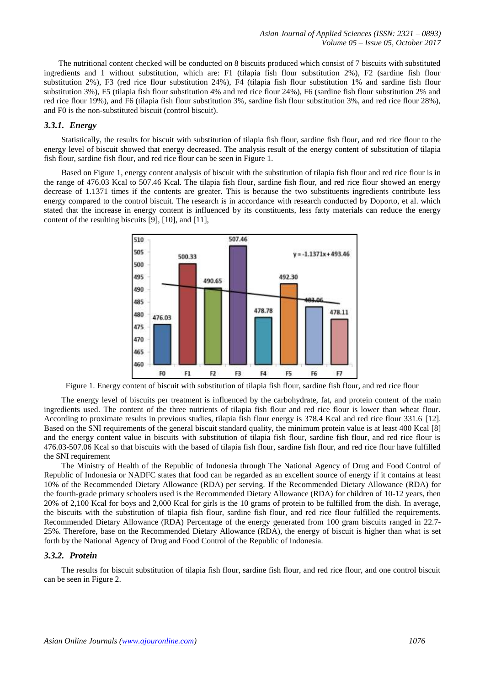The nutritional content checked will be conducted on 8 biscuits produced which consist of 7 biscuits with substituted ingredients and 1 without substitution, which are: F1 (tilapia fish flour substitution 2%), F2 (sardine fish flour substitution 2%), F3 (red rice flour substitution 24%), F4 (tilapia fish flour substitution 1% and sardine fish flour substitution 3%), F5 (tilapia fish flour substitution 4% and red rice flour 24%), F6 (sardine fish flour substitution 2% and red rice flour 19%), and F6 (tilapia fish flour substitution 3%, sardine fish flour substitution 3%, and red rice flour 28%), and F0 is the non-substituted biscuit (control biscuit).

## *3.3.1. Energy*

Statistically, the results for biscuit with substitution of tilapia fish flour, sardine fish flour, and red rice flour to the energy level of biscuit showed that energy decreased. The analysis result of the energy content of substitution of tilapia fish flour, sardine fish flour, and red rice flour can be seen in Figure 1.

Based on Figure 1, energy content analysis of biscuit with the substitution of tilapia fish flour and red rice flour is in the range of 476.03 Kcal to 507.46 Kcal. The tilapia fish flour, sardine fish flour, and red rice flour showed an energy decrease of 1.1371 times if the contents are greater. This is because the two substituents ingredients contribute less energy compared to the control biscuit. The research is in accordance with research conducted by Doporto, et al. which stated that the increase in energy content is influenced by its constituents, less fatty materials can reduce the energy content of the resulting biscuits [9], [10], and [11],



Figure 1. Energy content of biscuit with substitution of tilapia fish flour, sardine fish flour, and red rice flour

The energy level of biscuits per treatment is influenced by the carbohydrate, fat, and protein content of the main ingredients used. The content of the three nutrients of tilapia fish flour and red rice flour is lower than wheat flour. According to proximate results in previous studies, tilapia fish flour energy is 378.4 Kcal and red rice flour 331.6 [12]. Based on the SNI requirements of the general biscuit standard quality, the minimum protein value is at least 400 Kcal [8] and the energy content value in biscuits with substitution of tilapia fish flour, sardine fish flour, and red rice flour is 476.03-507.06 Kcal so that biscuits with the based of tilapia fish flour, sardine fish flour, and red rice flour have fulfilled the SNI requirement

The Ministry of Health of the Republic of Indonesia through The National Agency of Drug and Food Control of Republic of Indonesia or NADFC states that food can be regarded as an excellent source of energy if it contains at least 10% of the Recommended Dietary Allowance (RDA) per serving. If the Recommended Dietary Allowance (RDA) for the fourth-grade primary schoolers used is the Recommended Dietary Allowance (RDA) for children of 10-12 years, then 20% of 2,100 Kcal for boys and 2,000 Kcal for girls is the 10 grams of protein to be fulfilled from the dish. In average, the biscuits with the substitution of tilapia fish flour, sardine fish flour, and red rice flour fulfilled the requirements. Recommended Dietary Allowance (RDA) Percentage of the energy generated from 100 gram biscuits ranged in 22.7- 25%. Therefore, base on the Recommended Dietary Allowance (RDA), the energy of biscuit is higher than what is set forth by the National Agency of Drug and Food Control of the Republic of Indonesia.

### *3.3.2. Protein*

The results for biscuit substitution of tilapia fish flour, sardine fish flour, and red rice flour, and one control biscuit can be seen in Figure 2.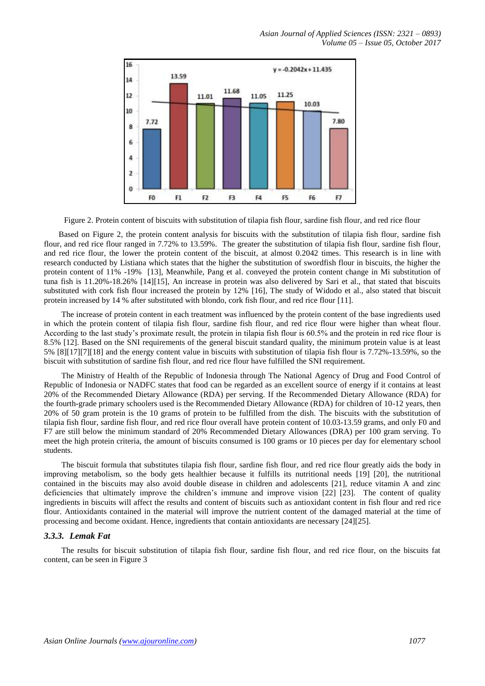

Figure 2. Protein content of biscuits with substitution of tilapia fish flour, sardine fish flour, and red rice flour

Based on Figure 2, the protein content analysis for biscuits with the substitution of tilapia fish flour, sardine fish flour, and red rice flour ranged in 7.72% to 13.59%. The greater the substitution of tilapia fish flour, sardine fish flour, and red rice flour, the lower the protein content of the biscuit, at almost 0.2042 times. This research is in line with research conducted by Listiana which states that the higher the substitution of swordfish flour in biscuits, the higher the protein content of 11% -19% [13], Meanwhile, Pang et al. conveyed the protein content change in Mi substitution of tuna fish is 11.20%-18.26% [14][15], An increase in protein was also delivered by Sari et al., that stated that biscuits substituted with cork fish flour increased the protein by 12% [16], The study of Widodo et al., also stated that biscuit protein increased by 14 % after substituted with blondo, cork fish flour, and red rice flour [11].

The increase of protein content in each treatment was influenced by the protein content of the base ingredients used in which the protein content of tilapia fish flour, sardine fish flour, and red rice flour were higher than wheat flour. According to the last study's proximate result, the protein in tilapia fish flour is 60.5% and the protein in red rice flour is 8.5% [12]. Based on the SNI requirements of the general biscuit standard quality, the minimum protein value is at least 5% [8][17][7][18] and the energy content value in biscuits with substitution of tilapia fish flour is 7.72%-13.59%, so the biscuit with substitution of sardine fish flour, and red rice flour have fulfilled the SNI requirement.

The Ministry of Health of the Republic of Indonesia through The National Agency of Drug and Food Control of Republic of Indonesia or NADFC states that food can be regarded as an excellent source of energy if it contains at least 20% of the Recommended Dietary Allowance (RDA) per serving. If the Recommended Dietary Allowance (RDA) for the fourth-grade primary schoolers used is the Recommended Dietary Allowance (RDA) for children of 10-12 years, then 20% of 50 gram protein is the 10 grams of protein to be fulfilled from the dish. The biscuits with the substitution of tilapia fish flour, sardine fish flour, and red rice flour overall have protein content of 10.03-13.59 grams, and only F0 and F7 are still below the minimum standard of 20% Recommended Dietary Allowances (DRA) per 100 gram serving. To meet the high protein criteria, the amount of biscuits consumed is 100 grams or 10 pieces per day for elementary school students.

The biscuit formula that substitutes tilapia fish flour, sardine fish flour, and red rice flour greatly aids the body in improving metabolism, so the body gets healthier because it fulfills its nutritional needs [19] [20], the nutritional contained in the biscuits may also avoid double disease in children and adolescents [21], reduce vitamin A and zinc deficiencies that ultimately improve the children's immune and improve vision [22] [23]. The content of quality ingredients in biscuits will affect the results and content of biscuits such as antioxidant content in fish flour and red rice flour. Antioxidants contained in the material will improve the nutrient content of the damaged material at the time of processing and become oxidant. Hence, ingredients that contain antioxidants are necessary [24][25].

## *3.3.3. Lemak Fat*

The results for biscuit substitution of tilapia fish flour, sardine fish flour, and red rice flour, on the biscuits fat content, can be seen in Figure 3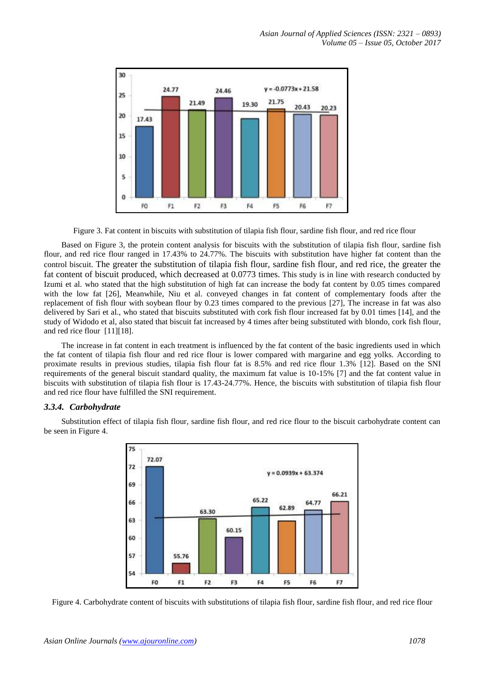

Figure 3. Fat content in biscuits with substitution of tilapia fish flour, sardine fish flour, and red rice flour

Based on Figure 3, the protein content analysis for biscuits with the substitution of tilapia fish flour, sardine fish flour, and red rice flour ranged in 17.43% to 24.77%. The biscuits with substitution have higher fat content than the control biscuit. The greater the substitution of tilapia fish flour, sardine fish flour, and red rice, the greater the fat content of biscuit produced, which decreased at 0.0773 times. This study is in line with research conducted by Izumi et al. who stated that the high substitution of high fat can increase the body fat content by 0.05 times compared with the low fat [26], Meanwhile, Niu et al. conveyed changes in fat content of complementary foods after the replacement of fish flour with soybean flour by 0.23 times compared to the previous [27], The increase in fat was also delivered by Sari et al., who stated that biscuits substituted with cork fish flour increased fat by 0.01 times [14], and the study of Widodo et al, also stated that biscuit fat increased by 4 times after being substituted with blondo, cork fish flour, and red rice flour [11][18].

The increase in fat content in each treatment is influenced by the fat content of the basic ingredients used in which the fat content of tilapia fish flour and red rice flour is lower compared with margarine and egg yolks. According to proximate results in previous studies, tilapia fish flour fat is 8.5% and red rice flour 1.3% [12]. Based on the SNI requirements of the general biscuit standard quality, the maximum fat value is 10-15% [7] and the fat content value in biscuits with substitution of tilapia fish flour is 17.43-24.77%. Hence, the biscuits with substitution of tilapia fish flour and red rice flour have fulfilled the SNI requirement.

## *3.3.4. Carbohydrate*



Substitution effect of tilapia fish flour, sardine fish flour, and red rice flour to the biscuit carbohydrate content can be seen in Figure 4.

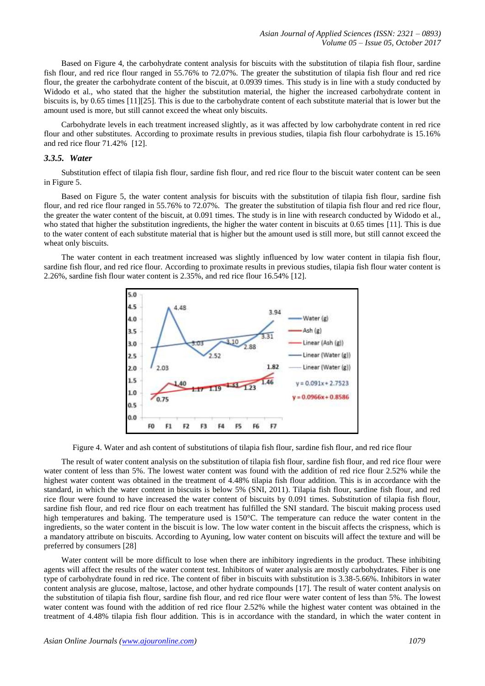Based on Figure 4, the carbohydrate content analysis for biscuits with the substitution of tilapia fish flour, sardine fish flour, and red rice flour ranged in 55.76% to 72.07%. The greater the substitution of tilapia fish flour and red rice flour, the greater the carbohydrate content of the biscuit, at 0.0939 times. This study is in line with a study conducted by Widodo et al., who stated that the higher the substitution material, the higher the increased carbohydrate content in biscuits is, by 0.65 times [11][25]. This is due to the carbohydrate content of each substitute material that is lower but the amount used is more, but still cannot exceed the wheat only biscuits.

Carbohydrate levels in each treatment increased slightly, as it was affected by low carbohydrate content in red rice flour and other substitutes. According to proximate results in previous studies, tilapia fish flour carbohydrate is 15.16% and red rice flour 71.42% [12].

## *3.3.5. Water*

Substitution effect of tilapia fish flour, sardine fish flour, and red rice flour to the biscuit water content can be seen in Figure 5.

Based on Figure 5, the water content analysis for biscuits with the substitution of tilapia fish flour, sardine fish flour, and red rice flour ranged in 55.76% to 72.07%. The greater the substitution of tilapia fish flour and red rice flour, the greater the water content of the biscuit, at 0.091 times. The study is in line with research conducted by Widodo et al., who stated that higher the substitution ingredients, the higher the water content in biscuits at 0.65 times [11]. This is due to the water content of each substitute material that is higher but the amount used is still more, but still cannot exceed the wheat only biscuits.

The water content in each treatment increased was slightly influenced by low water content in tilapia fish flour, sardine fish flour, and red rice flour. According to proximate results in previous studies, tilapia fish flour water content is 2.26%, sardine fish flour water content is 2.35%, and red rice flour 16.54% [12].



Figure 4. Water and ash content of substitutions of tilapia fish flour, sardine fish flour, and red rice flour

The result of water content analysis on the substitution of tilapia fish flour, sardine fish flour, and red rice flour were water content of less than 5%. The lowest water content was found with the addition of red rice flour 2.52% while the highest water content was obtained in the treatment of 4.48% tilapia fish flour addition. This is in accordance with the standard, in which the water content in biscuits is below 5% (SNI, 2011). Tilapia fish flour, sardine fish flour, and red rice flour were found to have increased the water content of biscuits by 0.091 times. Substitution of tilapia fish flour, sardine fish flour, and red rice flour on each treatment has fulfilled the SNI standard. The biscuit making process used high temperatures and baking. The temperature used is 150°C. The temperature can reduce the water content in the ingredients, so the water content in the biscuit is low. The low water content in the biscuit affects the crispness, which is a mandatory attribute on biscuits. According to Ayuning, low water content on biscuits will affect the texture and will be preferred by consumers [28]

Water content will be more difficult to lose when there are inhibitory ingredients in the product. These inhibiting agents will affect the results of the water content test. Inhibitors of water analysis are mostly carbohydrates. Fiber is one type of carbohydrate found in red rice. The content of fiber in biscuits with substitution is 3.38-5.66%. Inhibitors in water content analysis are glucose, maltose, lactose, and other hydrate compounds [17]. The result of water content analysis on the substitution of tilapia fish flour, sardine fish flour, and red rice flour were water content of less than 5%. The lowest water content was found with the addition of red rice flour 2.52% while the highest water content was obtained in the treatment of 4.48% tilapia fish flour addition. This is in accordance with the standard, in which the water content in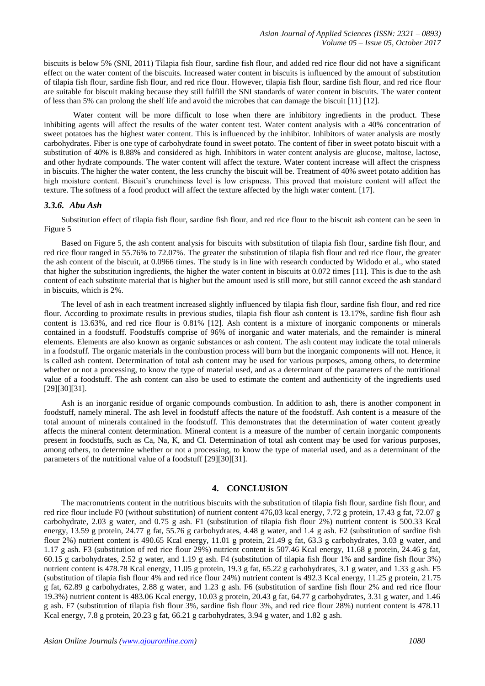biscuits is below 5% (SNI, 2011) Tilapia fish flour, sardine fish flour, and added red rice flour did not have a significant effect on the water content of the biscuits. Increased water content in biscuits is influenced by the amount of substitution of tilapia fish flour, sardine fish flour, and red rice flour. However, tilapia fish flour, sardine fish flour, and red rice flour are suitable for biscuit making because they still fulfill the SNI standards of water content in biscuits. The water content of less than 5% can prolong the shelf life and avoid the microbes that can damage the biscuit [11] [12].

Water content will be more difficult to lose when there are inhibitory ingredients in the product. These inhibiting agents will affect the results of the water content test. Water content analysis with a 40% concentration of sweet potatoes has the highest water content. This is influenced by the inhibitor. Inhibitors of water analysis are mostly carbohydrates. Fiber is one type of carbohydrate found in sweet potato. The content of fiber in sweet potato biscuit with a substitution of 40% is 8.88% and considered as high. Inhibitors in water content analysis are glucose, maltose, lactose, and other hydrate compounds. The water content will affect the texture. Water content increase will affect the crispness in biscuits. The higher the water content, the less crunchy the biscuit will be. Treatment of 40% sweet potato addition has high moisture content. Biscuit's crunchiness level is low crispness. This proved that moisture content will affect the texture. The softness of a food product will affect the texture affected by the high water content. [17].

### *3.3.6. Abu Ash*

Substitution effect of tilapia fish flour, sardine fish flour, and red rice flour to the biscuit ash content can be seen in Figure 5

Based on Figure 5, the ash content analysis for biscuits with substitution of tilapia fish flour, sardine fish flour, and red rice flour ranged in 55.76% to 72.07%. The greater the substitution of tilapia fish flour and red rice flour, the greater the ash content of the biscuit, at 0.0966 times. The study is in line with research conducted by Widodo et al., who stated that higher the substitution ingredients, the higher the water content in biscuits at 0.072 times [11]. This is due to the ash content of each substitute material that is higher but the amount used is still more, but still cannot exceed the ash standard in biscuits, which is 2%.

The level of ash in each treatment increased slightly influenced by tilapia fish flour, sardine fish flour, and red rice flour. According to proximate results in previous studies, tilapia fish flour ash content is 13.17%, sardine fish flour ash content is 13.63%, and red rice flour is 0.81% [12]. Ash content is a mixture of inorganic components or minerals contained in a foodstuff. Foodstuffs comprise of 96% of inorganic and water materials, and the remainder is mineral elements. Elements are also known as organic substances or ash content. The ash content may indicate the total minerals in a foodstuff. The organic materials in the combustion process will burn but the inorganic components will not. Hence, it is called ash content. Determination of total ash content may be used for various purposes, among others, to determine whether or not a processing, to know the type of material used, and as a determinant of the parameters of the nutritional value of a foodstuff. The ash content can also be used to estimate the content and authenticity of the ingredients used [29][30][31].

Ash is an inorganic residue of organic compounds combustion. In addition to ash, there is another component in foodstuff, namely mineral. The ash level in foodstuff affects the nature of the foodstuff. Ash content is a measure of the total amount of minerals contained in the foodstuff. This demonstrates that the determination of water content greatly affects the mineral content determination. Mineral content is a measure of the number of certain inorganic components present in foodstuffs, such as Ca, Na, K, and Cl. Determination of total ash content may be used for various purposes, among others, to determine whether or not a processing, to know the type of material used, and as a determinant of the parameters of the nutritional value of a foodstuff [29][30][31].

## **4. CONCLUSION**

The macronutrients content in the nutritious biscuits with the substitution of tilapia fish flour, sardine fish flour, and red rice flour include F0 (without substitution) of nutrient content 476,03 kcal energy, 7.72 g protein, 17.43 g fat, 72.07 g carbohydrate, 2.03 g water, and 0.75 g ash. F1 (substitution of tilapia fish flour 2%) nutrient content is 500.33 Kcal energy, 13.59 g protein, 24.77 g fat, 55.76 g carbohydrates, 4.48 g water, and 1.4 g ash. F2 (substitution of sardine fish flour 2%) nutrient content is 490.65 Kcal energy, 11.01 g protein, 21.49 g fat, 63.3 g carbohydrates, 3.03 g water, and 1.17 g ash. F3 (substitution of red rice flour 29%) nutrient content is 507.46 Kcal energy, 11.68 g protein, 24.46 g fat, 60.15 g carbohydrates, 2.52 g water, and 1.19 g ash. F4 (substitution of tilapia fish flour 1% and sardine fish flour 3%) nutrient content is 478.78 Kcal energy, 11.05 g protein, 19.3 g fat, 65.22 g carbohydrates, 3.1 g water, and 1.33 g ash. F5 (substitution of tilapia fish flour 4% and red rice flour 24%) nutrient content is 492.3 Kcal energy, 11.25 g protein, 21.75 g fat, 62.89 g carbohydrates, 2.88 g water, and 1.23 g ash. F6 (substitution of sardine fish flour 2% and red rice flour 19.3%) nutrient content is 483.06 Kcal energy, 10.03 g protein, 20.43 g fat, 64.77 g carbohydrates, 3.31 g water, and 1.46 g ash. F7 (substitution of tilapia fish flour 3%, sardine fish flour 3%, and red rice flour 28%) nutrient content is 478.11 Kcal energy, 7.8 g protein, 20.23 g fat, 66.21 g carbohydrates, 3.94 g water, and 1.82 g ash.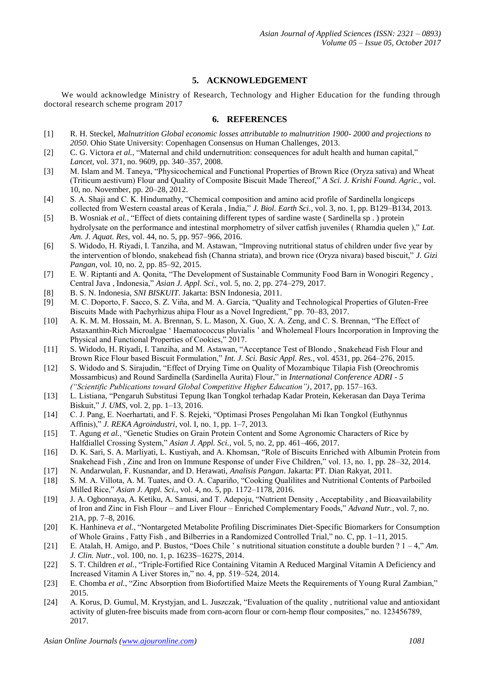# **5. ACKNOWLEDGEMENT**

We would acknowledge Ministry of Research, Technology and Higher Education for the funding through doctoral research scheme program 2017

## **6. REFERENCES**

- [1] R. H. Steckel, *Malnutrition Global economic losses attributable to malnutrition 1900- 2000 and projections to 2050*. Ohio State University: Copenhagen Consensus on Human Challenges, 2013.
- [2] C. G. Victora *et al.*, "Maternal and child undernutrition: consequences for adult health and human capital," *Lancet*, vol. 371, no. 9609, pp. 340–357, 2008.
- [3] M. Islam and M. Taneya, "Physicochemical and Functional Properties of Brown Rice (Oryza sativa) and Wheat (Triticum aestivum) Flour and Quality of Composite Biscuit Made Thereof," *A Sci. J. Krishi Found. Agric.*, vol. 10, no. November, pp. 20–28, 2012.
- [4] S. A. Shaji and C. K. Hindumathy, "Chemical composition and amino acid profile of Sardinella longiceps collected from Western coastal areas of Kerala , India," *J. Biol. Earth Sci.*, vol. 3, no. 1, pp. B129–B134, 2013.
- [5] B. Wosniak et al., "Effect of diets containing different types of sardine waste (Sardinella sp.) protein hydrolysate on the performance and intestinal morphometry of silver catfish juveniles ( Rhamdia quelen )," *Lat. Am. J. Aquat. Res*, vol. 44, no. 5, pp. 957–966, 2016.
- [6] S. Widodo, H. Riyadi, I. Tanziha, and M. Astawan, "Improving nutritional status of children under five year by the intervention of blondo, snakehead fish (Channa striata), and brown rice (Oryza nivara) based biscuit," *J. Gizi Pangan*, vol. 10, no. 2, pp. 85–92, 2015.
- [7] E. W. Riptanti and A. Qonita, "The Development of Sustainable Community Food Barn in Wonogiri Regency , Central Java , Indonesia," *Asian J. Appl. Sci.*, vol. 5, no. 2, pp. 274–279, 2017.
- [8] B. S. N. Indonesia, *SNI BISKUIT*. Jakarta: BSN Indonesia, 2011.<br>[9] M. C. Doporto, F. Sacco, S. Z. Viña, and M. A. García, "Quality
- [9] M. C. Doporto, F. Sacco, S. Z. Viña, and M. A. García, "Quality and Technological Properties of Gluten-Free Biscuits Made with Pachyrhizus ahipa Flour as a Novel Ingredient," pp. 70–83, 2017.
- [10] A. K. M. M. Hossain, M. A. Brennan, S. L. Mason, X. Guo, X. A. Zeng, and C. S. Brennan, "The Effect of Astaxanthin-Rich Microalgae ' Haematococcus pluvialis ' and Wholemeal Flours Incorporation in Improving the Physical and Functional Properties of Cookies," 2017.
- [11] S. Widodo, H. Riyadi, I. Tanziha, and M. Astawan, "Acceptance Test of Blondo , Snakehead Fish Flour and Brown Rice Flour based Biscuit Formulation," *Int. J. Sci. Basic Appl. Res.*, vol. 4531, pp. 264–276, 2015.
- [12] S. Widodo and S. Sirajudin, "Effect of Drying Time on Quality of Mozambique Tilapia Fish (Oreochromis Mossambicus) and Round Sardinella (Sardinella Aurita) Flour," in *International Conference ADRI - 5 ("Scientific Publications toward Global Competitive Higher Education")*, 2017, pp. 157–163.
- [13] L. Listiana, "Pengaruh Substitusi Tepung Ikan Tongkol terhadap Kadar Protein, Kekerasan dan Daya Terima Biskuit," *J. UMS*, vol. 2, pp. 1–13, 2016.
- [14] C. J. Pang, E. Noerhartati, and F. S. Rejeki, "Optimasi Proses Pengolahan Mi Ikan Tongkol (Euthynnus Affinis)," *J. REKA Agroindustri*, vol. I, no. 1, pp. 1–7, 2013.
- [15] T. Agung *et al.*, "Genetic Studies on Grain Protein Content and Some Agronomic Characters of Rice by Halfdiallel Crossing System," *Asian J. Appl. Sci.*, vol. 5, no. 2, pp. 461–466, 2017.
- [16] D. K. Sari, S. A. Marliyati, L. Kustiyah, and A. Khomsan, "Role of Biscuits Enriched with Albumin Protein from Snakehead Fish , Zinc and Iron on Immune Response of under Five Children," vol. 13, no. 1, pp. 28–32, 2014.
- [17] N. Andarwulan, F. Kusnandar, and D. Herawati, *Analisis Pangan*. Jakarta: PT. Dian Rakyat, 2011.
- [18] S. M. A. Villota, A. M. Tuates, and O. A. Capariño, "Cooking Qualilites and Nutritional Contents of Parboiled Milled Rice," *Asian J. Appl. Sci.*, vol. 4, no. 5, pp. 1172–1178, 2016.
- [19] J. A. Ogbonnaya, A. Ketiku, A. Sanusi, and T. Adepoju, "Nutrient Density , Acceptability , and Bioavailability of Iron and Zinc in Fish Flour – and Liver Flour – Enriched Complementary Foods," *Advand Nutr.*, vol. 7, no. 21A, pp. 7–8, 2016.
- [20] K. Hanhineva *et al.*, "Nontargeted Metabolite Profiling Discriminates Diet-Specific Biomarkers for Consumption of Whole Grains , Fatty Fish , and Bilberries in a Randomized Controlled Trial," no. C, pp. 1–11, 2015.
- [21] E. Atalah, H. Amigo, and P. Bustos, "Does Chile ' s nutritional situation constitute a double burden ? 1 4," *Am. J. Clin. Nutr.*, vol. 100, no. 1, p. 1623S–1627S, 2014.
- [22] S. T. Children *et al.*, "Triple-Fortified Rice Containing Vitamin A Reduced Marginal Vitamin A Deficiency and Increased Vitamin A Liver Stores in," no. 4, pp. 519–524, 2014.
- [23] E. Chomba *et al.*, "Zinc Absorption from Biofortified Maize Meets the Requirements of Young Rural Zambian," 2015.
- [24] A. Korus, D. Gumul, M. Krystyjan, and L. Juszczak, "Evaluation of the quality , nutritional value and antioxidant activity of gluten-free biscuits made from corn-acorn flour or corn-hemp flour composites," no. 123456789, 2017.